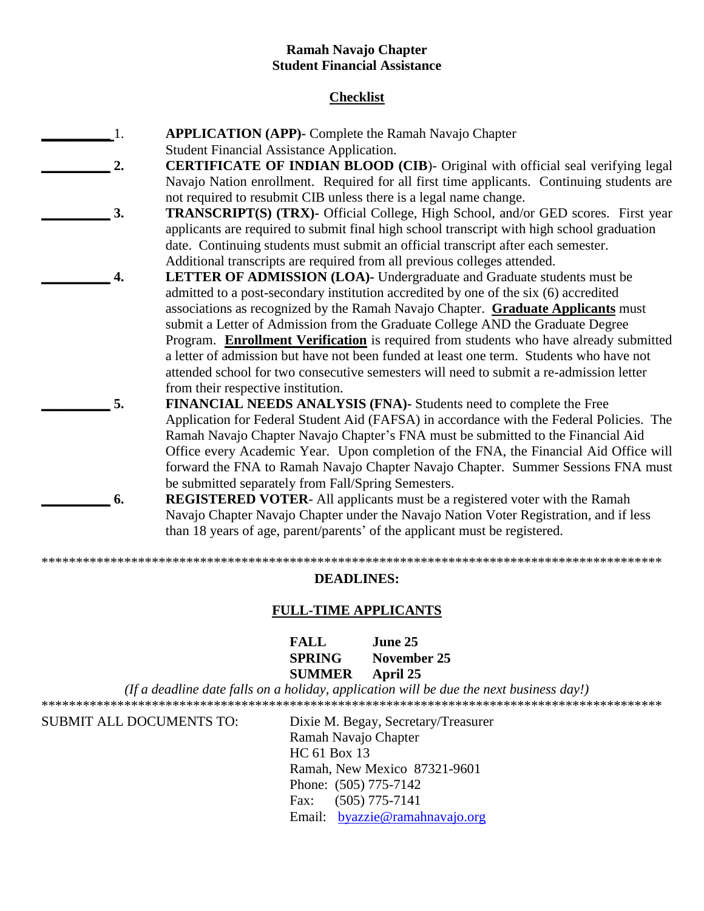### **Ramah Navajo Chapter Student Financial Assistance**

### **Checklist**

- **\_\_\_\_\_\_\_\_\_\_** 1. **APPLICATION (APP)-** Complete the Ramah Navajo Chapter Student Financial Assistance Application.
	- **2. CERTIFICATE OF INDIAN BLOOD (CIB)** Original with official seal verifying legal Navajo Nation enrollment. Required for all first time applicants. Continuing students are not required to resubmit CIB unless there is a legal name change.
	- **3. TRANSCRIPT(S) (TRX)-** Official College, High School, and/or GED scores. First year applicants are required to submit final high school transcript with high school graduation date. Continuing students must submit an official transcript after each semester. Additional transcripts are required from all previous colleges attended.
	- **\_\_\_\_\_\_\_\_\_\_ 4. LETTER OF ADMISSION (LOA)-** Undergraduate and Graduate students must be admitted to a post-secondary institution accredited by one of the six (6) accredited associations as recognized by the Ramah Navajo Chapter. **Graduate Applicants** must submit a Letter of Admission from the Graduate College AND the Graduate Degree Program. **Enrollment Verification** is required from students who have already submitted a letter of admission but have not been funded at least one term. Students who have not attended school for two consecutive semesters will need to submit a re-admission letter from their respective institution.
	- **\_\_\_\_\_\_\_\_\_\_ 5. FINANCIAL NEEDS ANALYSIS (FNA)-** Students need to complete the Free Application for Federal Student Aid (FAFSA) in accordance with the Federal Policies. The Ramah Navajo Chapter Navajo Chapter's FNA must be submitted to the Financial Aid Office every Academic Year. Upon completion of the FNA, the Financial Aid Office will forward the FNA to Ramah Navajo Chapter Navajo Chapter. Summer Sessions FNA must be submitted separately from Fall/Spring Semesters.
		- **6. REGISTERED VOTER-** All applicants must be a registered voter with the Ramah Navajo Chapter Navajo Chapter under the Navajo Nation Voter Registration, and if less than 18 years of age, parent/parents' of the applicant must be registered.

\*\*\*\*\*\*\*\*\*\*\*\*\*\*\*\*\*\*\*\*\*\*\*\*\*\*\*\*\*\*\*\*\*\*\*\*\*\*\*\*\*\*\*\*\*\*\*\*\*\*\*\*\*\*\*\*\*\*\*\*\*\*\*\*\*\*\*\*\*\*\*\*\*\*\*\*\*\*\*\*\*\*\*\*\*\*\*\*\*\*

#### **DEADLINES:**

#### **FULL-TIME APPLICANTS**

| FALL          | June 25     |
|---------------|-------------|
| <b>SPRING</b> | November 25 |
| <b>SUMMER</b> | April 25    |

*(If a deadline date falls on a holiday, application will be due the next business day!)* \*\*\*\*\*\*\*\*\*\*\*\*\*\*\*\*\*\*\*\*\*\*\*\*\*\*\*\*\*\*\*\*\*\*\*\*\*\*\*\*\*\*\*\*\*\*\*\*\*\*\*\*\*\*\*\*\*\*\*\*\*\*\*\*\*\*\*\*\*\*\*\*\*\*\*\*\*\*\*\*\*\*\*\*\*\*\*\*\*\*

SUBMIT ALL DOCUMENTS TO: Dixie M. Begay, Secretary/Treasurer Ramah Navajo Chapter HC 61 Box 13 Ramah, New Mexico 87321-9601 Phone: (505) 775-7142 Fax: (505) 775-7141 Email: [byazzie@ramahnavajo.org](mailto:byazzie@ramahnavajo.org)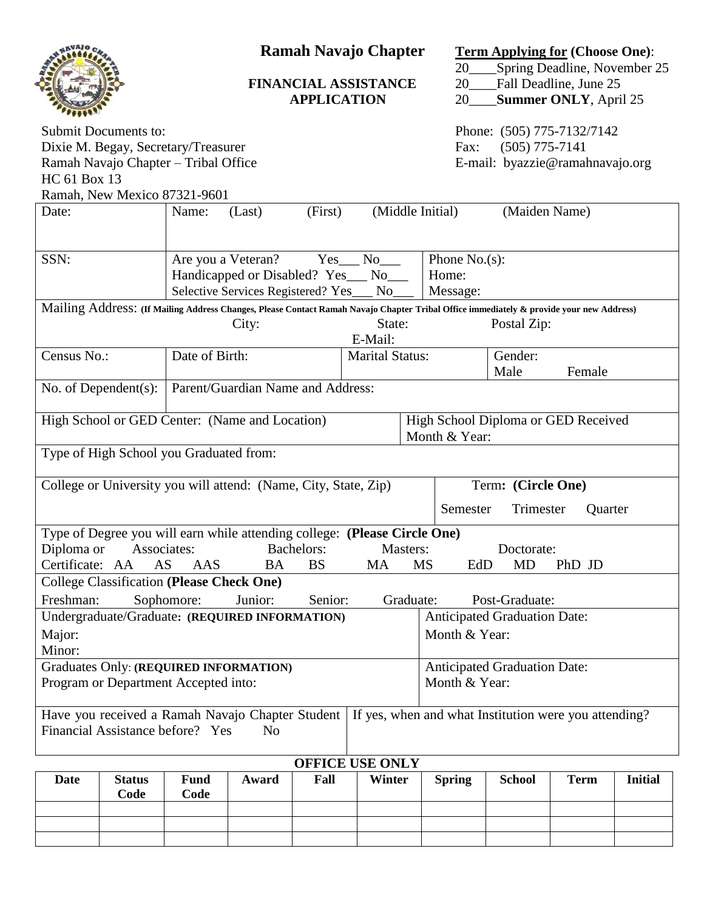|                                                                                                                                                                                                                                    |                                                               |                                                                                                                                                                                   |         | <b>APPLICATION</b> | <b>Ramah Navajo Chapter</b><br><b>FINANCIAL ASSISTANCE</b> | 20<br>20      | <b>Term Applying for (Choose One):</b><br>Spring Deadline, November 25<br>Fall Deadline, June 25<br><b>Summer ONLY, April 25</b><br>20 |             |                |  |
|------------------------------------------------------------------------------------------------------------------------------------------------------------------------------------------------------------------------------------|---------------------------------------------------------------|-----------------------------------------------------------------------------------------------------------------------------------------------------------------------------------|---------|--------------------|------------------------------------------------------------|---------------|----------------------------------------------------------------------------------------------------------------------------------------|-------------|----------------|--|
| <b>Submit Documents to:</b><br>Dixie M. Begay, Secretary/Treasurer<br>Ramah Navajo Chapter - Tribal Office<br>HC 61 Box 13<br>Ramah, New Mexico 87321-9601                                                                         |                                                               |                                                                                                                                                                                   |         |                    |                                                            | Fax:          | Phone: (505) 775-7132/7142<br>$(505)$ 775-7141<br>E-mail: byazzie@ramahnavajo.org                                                      |             |                |  |
| Date:                                                                                                                                                                                                                              |                                                               | (Middle Initial)<br>(Maiden Name)<br>(First)<br>Name:<br>(Last)                                                                                                                   |         |                    |                                                            |               |                                                                                                                                        |             |                |  |
| SSN:                                                                                                                                                                                                                               |                                                               | Are you a Veteran?<br>Yes No<br>Phone $No(s)$ :<br>Handicapped or Disabled? Yes___<br>Home:<br>N <sub>0</sub><br>Selective Services Registered? Yes<br>Message:<br>N <sub>0</sub> |         |                    |                                                            |               |                                                                                                                                        |             |                |  |
| Mailing Address: (If Mailing Address Changes, Please Contact Ramah Navajo Chapter Tribal Office immediately & provide your new Address)<br>State:<br>City:<br>Postal Zip:<br>E-Mail:                                               |                                                               |                                                                                                                                                                                   |         |                    |                                                            |               |                                                                                                                                        |             |                |  |
| Census No.:                                                                                                                                                                                                                        |                                                               | Date of Birth:                                                                                                                                                                    |         |                    | <b>Marital Status:</b>                                     |               | Gender:<br>Male                                                                                                                        | Female      |                |  |
|                                                                                                                                                                                                                                    | No. of Dependent $(s)$ :<br>Parent/Guardian Name and Address: |                                                                                                                                                                                   |         |                    |                                                            |               |                                                                                                                                        |             |                |  |
| High School Diploma or GED Received<br>High School or GED Center: (Name and Location)<br>Month & Year:                                                                                                                             |                                                               |                                                                                                                                                                                   |         |                    |                                                            |               |                                                                                                                                        |             |                |  |
| Type of High School you Graduated from:                                                                                                                                                                                            |                                                               |                                                                                                                                                                                   |         |                    |                                                            |               |                                                                                                                                        |             |                |  |
| College or University you will attend: (Name, City, State, Zip)<br>Term: (Circle One)<br>Semester<br>Trimester<br>Quarter                                                                                                          |                                                               |                                                                                                                                                                                   |         |                    |                                                            |               |                                                                                                                                        |             |                |  |
| Type of Degree you will earn while attending college: (Please Circle One)<br>Diploma or Associates: Bachelors: Masters:<br>Doctorate:<br>Certificate: AA<br>AS<br>AAS<br><b>BS</b><br><b>MS</b><br>MD<br>PhD JD<br>BA<br>MA<br>EdD |                                                               |                                                                                                                                                                                   |         |                    |                                                            |               |                                                                                                                                        |             |                |  |
| College Classification (Please Check One)<br>Freshman:                                                                                                                                                                             |                                                               | Sophomore:                                                                                                                                                                        | Junior: | Senior:            | Graduate:                                                  |               | Post-Graduate:                                                                                                                         |             |                |  |
| Undergraduate/Graduate: (REQUIRED INFORMATION)<br><b>Anticipated Graduation Date:</b><br>Major:<br>Month & Year:<br>Minor:                                                                                                         |                                                               |                                                                                                                                                                                   |         |                    |                                                            |               |                                                                                                                                        |             |                |  |
| <b>Graduates Only: (REQUIRED INFORMATION)</b><br><b>Anticipated Graduation Date:</b><br>Program or Department Accepted into:<br>Month & Year:                                                                                      |                                                               |                                                                                                                                                                                   |         |                    |                                                            |               |                                                                                                                                        |             |                |  |
| Have you received a Ramah Navajo Chapter Student   If yes, when and what Institution were you attending?<br>Financial Assistance before? Yes<br>No                                                                                 |                                                               |                                                                                                                                                                                   |         |                    |                                                            |               |                                                                                                                                        |             |                |  |
| <b>OFFICE USE ONLY</b>                                                                                                                                                                                                             |                                                               |                                                                                                                                                                                   |         |                    |                                                            |               |                                                                                                                                        |             |                |  |
| Date                                                                                                                                                                                                                               | <b>Status</b><br>Code                                         | <b>Fund</b><br>Code                                                                                                                                                               | Award   | Fall               | Winter                                                     | <b>Spring</b> | <b>School</b>                                                                                                                          | <b>Term</b> | <b>Initial</b> |  |
|                                                                                                                                                                                                                                    |                                                               |                                                                                                                                                                                   |         |                    |                                                            |               |                                                                                                                                        |             |                |  |
|                                                                                                                                                                                                                                    |                                                               |                                                                                                                                                                                   |         |                    |                                                            |               |                                                                                                                                        |             |                |  |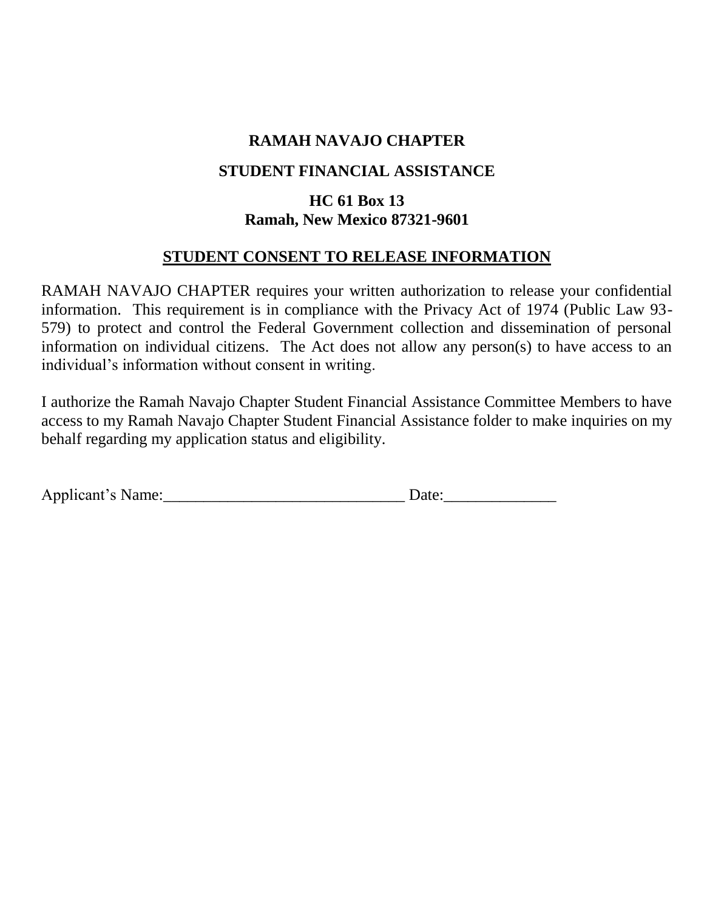# **RAMAH NAVAJO CHAPTER**

## **STUDENT FINANCIAL ASSISTANCE**

# **HC 61 Box 13 Ramah, New Mexico 87321-9601**

## **STUDENT CONSENT TO RELEASE INFORMATION**

RAMAH NAVAJO CHAPTER requires your written authorization to release your confidential information. This requirement is in compliance with the Privacy Act of 1974 (Public Law 93- 579) to protect and control the Federal Government collection and dissemination of personal information on individual citizens. The Act does not allow any person(s) to have access to an individual's information without consent in writing.

I authorize the Ramah Navajo Chapter Student Financial Assistance Committee Members to have access to my Ramah Navajo Chapter Student Financial Assistance folder to make inquiries on my behalf regarding my application status and eligibility.